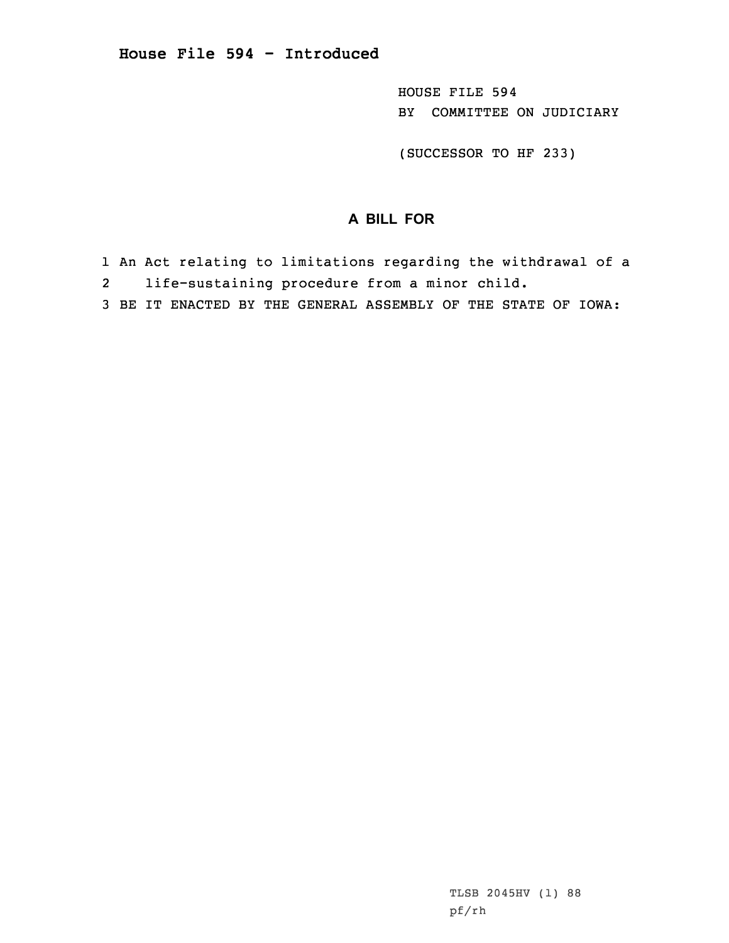HOUSE FILE 594 BY COMMITTEE ON JUDICIARY

(SUCCESSOR TO HF 233)

## **A BILL FOR**

- 1 An Act relating to limitations regarding the withdrawal of <sup>a</sup>
- 2life-sustaining procedure from <sup>a</sup> minor child.
- 3 BE IT ENACTED BY THE GENERAL ASSEMBLY OF THE STATE OF IOWA: